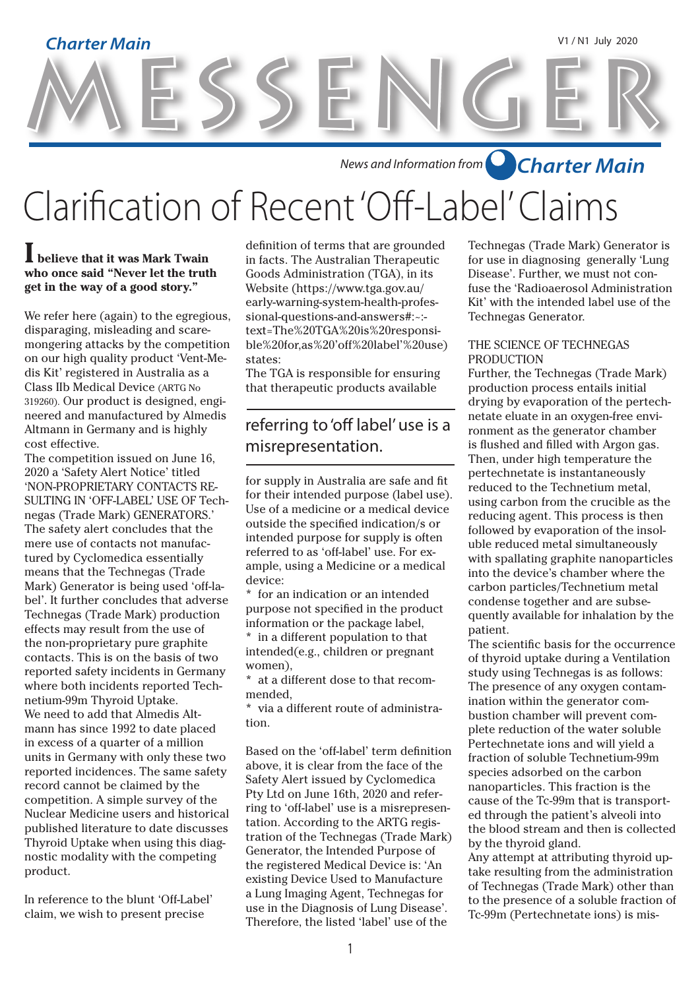# MESSENGER **Charter Main** V1 / N1 July 2020

*News and Information from Charter Main*

# Clarification of Recent 'Off-Label' Claims

### **I believe that it was Mark Twain who once said "Never let the truth get in the way of a good story."**

We refer here (again) to the egregious, disparaging, misleading and scaremongering attacks by the competition on our high quality product 'Vent-Medis Kit' registered in Australia as a Class IIb Medical Device (ARTG No 319260). Our product is designed, engineered and manufactured by Almedis Altmann in Germany and is highly cost effective.

The competition issued on June 16, 2020 a 'Safety Alert Notice' titled 'NON-PROPRIETARY CONTACTS RE-SULTING IN 'OFF-LABEL' USE OF Technegas (Trade Mark) GENERATORS.' The safety alert concludes that the mere use of contacts not manufactured by Cyclomedica essentially means that the Technegas (Trade Mark) Generator is being used 'off-label'. It further concludes that adverse Technegas (Trade Mark) production effects may result from the use of the non-proprietary pure graphite contacts. This is on the basis of two reported safety incidents in Germany where both incidents reported Technetium-99m Thyroid Uptake. We need to add that Almedis Altmann has since 1992 to date placed in excess of a quarter of a million units in Germany with only these two reported incidences. The same safety record cannot be claimed by the competition. A simple survey of the Nuclear Medicine users and historical published literature to date discusses Thyroid Uptake when using this diagnostic modality with the competing product.

In reference to the blunt 'Off-Label' claim, we wish to present precise

definition of terms that are grounded in facts. The Australian Therapeutic Goods Administration (TGA), in its Website (https://www.tga.gov.au/ early-warning-system-health-professional-questions-and-answers#:~: text=The%20TGA%20is%20responsible%20for,as%20'off%20label'%20use) states:

The TGA is responsible for ensuring that therapeutic products available

## referring to 'off label' use is a misrepresentation.

for supply in Australia are safe and fit for their intended purpose (label use). Use of a medicine or a medical device outside the specified indication/s or intended purpose for supply is often referred to as 'off-label' use. For example, using a Medicine or a medical device:

\* for an indication or an intended purpose not specified in the product information or the package label, \* in a different population to that

intended(e.g., children or pregnant women),

at a different dose to that recommended,

\* via a different route of administration.

Based on the 'off-label' term definition above, it is clear from the face of the Safety Alert issued by Cyclomedica Pty Ltd on June 16th, 2020 and referring to 'off-label' use is a misrepresentation. According to the ARTG registration of the Technegas (Trade Mark) Generator, the Intended Purpose of the registered Medical Device is: 'An existing Device Used to Manufacture a Lung Imaging Agent, Technegas for use in the Diagnosis of Lung Disease'. Therefore, the listed 'label' use of the

Technegas (Trade Mark) Generator is for use in diagnosing generally 'Lung Disease'. Further, we must not confuse the 'Radioaerosol Administration Kit' with the intended label use of the Technegas Generator.

### THE SCIENCE OF TECHNEGAS PRODUCTION

Further, the Technegas (Trade Mark) production process entails initial drying by evaporation of the pertechnetate eluate in an oxygen-free environment as the generator chamber is flushed and filled with Argon gas. Then, under high temperature the pertechnetate is instantaneously reduced to the Technetium metal, using carbon from the crucible as the reducing agent. This process is then followed by evaporation of the insoluble reduced metal simultaneously with spallating graphite nanoparticles into the device's chamber where the carbon particles/Technetium metal condense together and are subsequently available for inhalation by the patient.

The scientific basis for the occurrence of thyroid uptake during a Ventilation study using Technegas is as follows: The presence of any oxygen contamination within the generator combustion chamber will prevent complete reduction of the water soluble Pertechnetate ions and will yield a fraction of soluble Technetium-99m species adsorbed on the carbon nanoparticles. This fraction is the cause of the Tc-99m that is transported through the patient's alveoli into the blood stream and then is collected by the thyroid gland.

Any attempt at attributing thyroid uptake resulting from the administration of Technegas (Trade Mark) other than to the presence of a soluble fraction of Tc-99m (Pertechnetate ions) is mis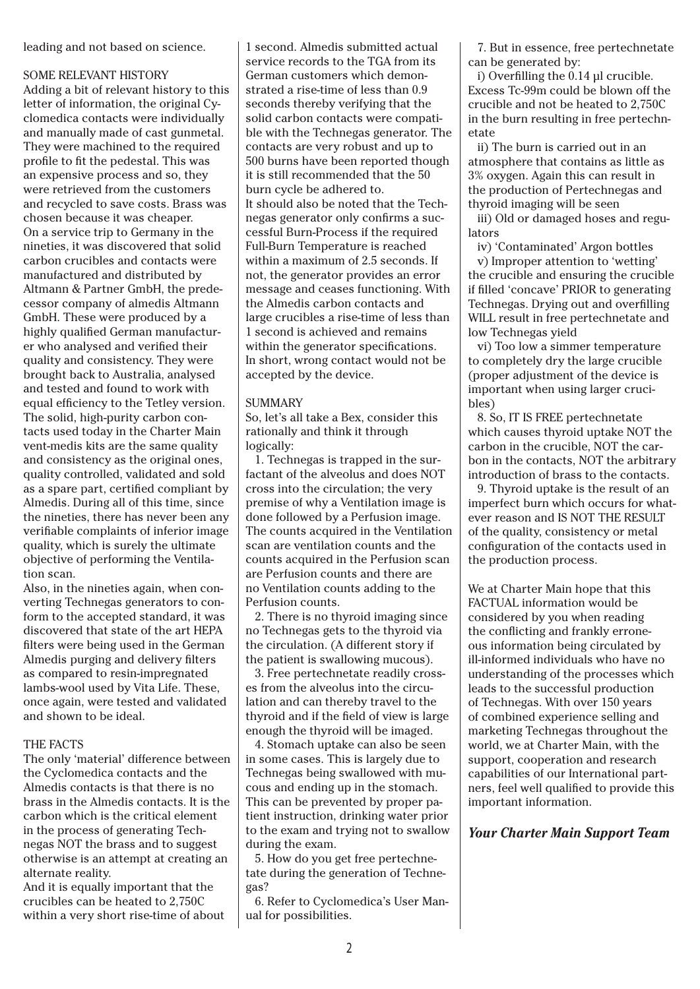leading and not based on science.

#### SOME RELEVANT HISTORY

Adding a bit of relevant history to this letter of information, the original Cyclomedica contacts were individually and manually made of cast gunmetal. They were machined to the required profile to fit the pedestal. This was an expensive process and so, they were retrieved from the customers and recycled to save costs. Brass was chosen because it was cheaper. On a service trip to Germany in the nineties, it was discovered that solid carbon crucibles and contacts were manufactured and distributed by Altmann & Partner GmbH, the predecessor company of almedis Altmann GmbH. These were produced by a highly qualified German manufacturer who analysed and verified their quality and consistency. They were brought back to Australia, analysed and tested and found to work with equal efficiency to the Tetley version. The solid, high-purity carbon contacts used today in the Charter Main vent-medis kits are the same quality and consistency as the original ones, quality controlled, validated and sold as a spare part, certified compliant by Almedis. During all of this time, since the nineties, there has never been any verifiable complaints of inferior image quality, which is surely the ultimate objective of performing the Ventilation scan.

Also, in the nineties again, when converting Technegas generators to conform to the accepted standard, it was discovered that state of the art HEPA filters were being used in the German Almedis purging and delivery filters as compared to resin-impregnated lambs-wool used by Vita Life. These, once again, were tested and validated and shown to be ideal.

#### THE FACTS

The only 'material' difference between the Cyclomedica contacts and the Almedis contacts is that there is no brass in the Almedis contacts. It is the carbon which is the critical element in the process of generating Technegas NOT the brass and to suggest otherwise is an attempt at creating an alternate reality.

And it is equally important that the crucibles can be heated to 2,750C within a very short rise-time of about 1 second. Almedis submitted actual service records to the TGA from its German customers which demonstrated a rise-time of less than 0.9 seconds thereby verifying that the solid carbon contacts were compatible with the Technegas generator. The contacts are very robust and up to 500 burns have been reported though it is still recommended that the 50 burn cycle be adhered to. It should also be noted that the Technegas generator only confirms a successful Burn-Process if the required Full-Burn Temperature is reached within a maximum of 2.5 seconds. If not, the generator provides an error message and ceases functioning. With the Almedis carbon contacts and large crucibles a rise-time of less than 1 second is achieved and remains within the generator specifications. In short, wrong contact would not be accepted by the device.

#### **SUMMARY**

So, let's all take a Bex, consider this rationally and think it through logically:

 1. Technegas is trapped in the surfactant of the alveolus and does NOT cross into the circulation; the very premise of why a Ventilation image is done followed by a Perfusion image. The counts acquired in the Ventilation scan are ventilation counts and the counts acquired in the Perfusion scan are Perfusion counts and there are no Ventilation counts adding to the Perfusion counts.

 2. There is no thyroid imaging since no Technegas gets to the thyroid via the circulation. (A different story if the patient is swallowing mucous).

 3. Free pertechnetate readily crosses from the alveolus into the circulation and can thereby travel to the thyroid and if the field of view is large enough the thyroid will be imaged.

 4. Stomach uptake can also be seen in some cases. This is largely due to Technegas being swallowed with mucous and ending up in the stomach. This can be prevented by proper patient instruction, drinking water prior to the exam and trying not to swallow during the exam.

 5. How do you get free pertechnetate during the generation of Technegas?

 6. Refer to Cyclomedica's User Manual for possibilities.

 7. But in essence, free pertechnetate can be generated by:

 i) Overfilling the 0.14 µl crucible. Excess Tc-99m could be blown off the crucible and not be heated to 2,750C in the burn resulting in free pertechnetate

 ii) The burn is carried out in an atmosphere that contains as little as 3% oxygen. Again this can result in the production of Pertechnegas and thyroid imaging will be seen

 iii) Old or damaged hoses and regulators

 iv) 'Contaminated' Argon bottles v) Improper attention to 'wetting' the crucible and ensuring the crucible if filled 'concave' PRIOR to generating Technegas. Drying out and overfilling WILL result in free pertechnetate and low Technegas yield

 vi) Too low a simmer temperature to completely dry the large crucible (proper adjustment of the device is important when using larger crucibles)

 8. So, IT IS FREE pertechnetate which causes thyroid uptake NOT the carbon in the crucible, NOT the carbon in the contacts, NOT the arbitrary introduction of brass to the contacts.

 9. Thyroid uptake is the result of an imperfect burn which occurs for whatever reason and IS NOT THE RESULT of the quality, consistency or metal configuration of the contacts used in the production process.

We at Charter Main hope that this FACTUAL information would be considered by you when reading the conflicting and frankly erroneous information being circulated by ill-informed individuals who have no understanding of the processes which leads to the successful production of Technegas. With over 150 years of combined experience selling and marketing Technegas throughout the world, we at Charter Main, with the support, cooperation and research capabilities of our International partners, feel well qualified to provide this important information.

### *Your Charter Main Support Team*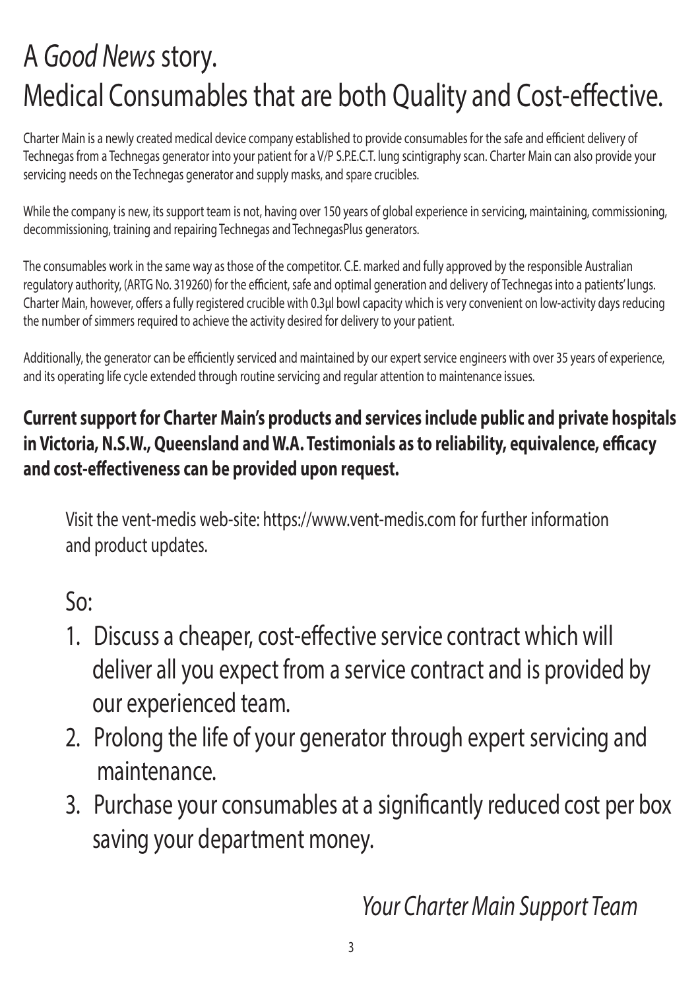## A *Good News* story. Medical Consumables that are both Quality and Cost-effective.

Charter Main is a newly created medical device company established to provide consumables for the safe and efficient delivery of Technegas from a Technegas generator into your patient for a V/P S.P.E.C.T. lung scintigraphy scan. Charter Main can also provide your servicing needs on the Technegas generator and supply masks, and spare crucibles.

While the company is new, its support team is not, having over 150 years of global experience in servicing, maintaining, commissioning, decommissioning, training and repairing Technegas and TechnegasPlus generators.

The consumables work in the same way as those of the competitor. C.E. marked and fully approved by the responsible Australian regulatory authority, (ARTG No. 319260) for the efficient, safe and optimal generation and delivery of Technegas into a patients' lungs. Charter Main, however, offers a fully registered crucible with 0.3µl bowl capacity which is very convenient on low-activity days reducing the number of simmers required to achieve the activity desired for delivery to your patient.

Additionally, the generator can be efficiently serviced and maintained by our expert service engineers with over 35 years of experience, and its operating life cycle extended through routine servicing and regular attention to maintenance issues.

## **Current support for Charter Main's products and services include public and private hospitals in Victoria, N.S.W., Queensland and W.A. Testimonials as to reliability, equivalence, efficacy and cost-effectiveness can be provided upon request.**

Visit the vent-medis web-site: https://www.vent-medis.com for further information and product updates.

So:

- 1. Discuss a cheaper, cost-effective service contract which will deliver all you expect from a service contract and is provided by our experienced team.
- 2. Prolong the life of your generator through expert servicing and maintenance.
- 3. Purchase your consumables at a significantly reduced cost per box saving your department money.

*Your Charter Main Support Team*